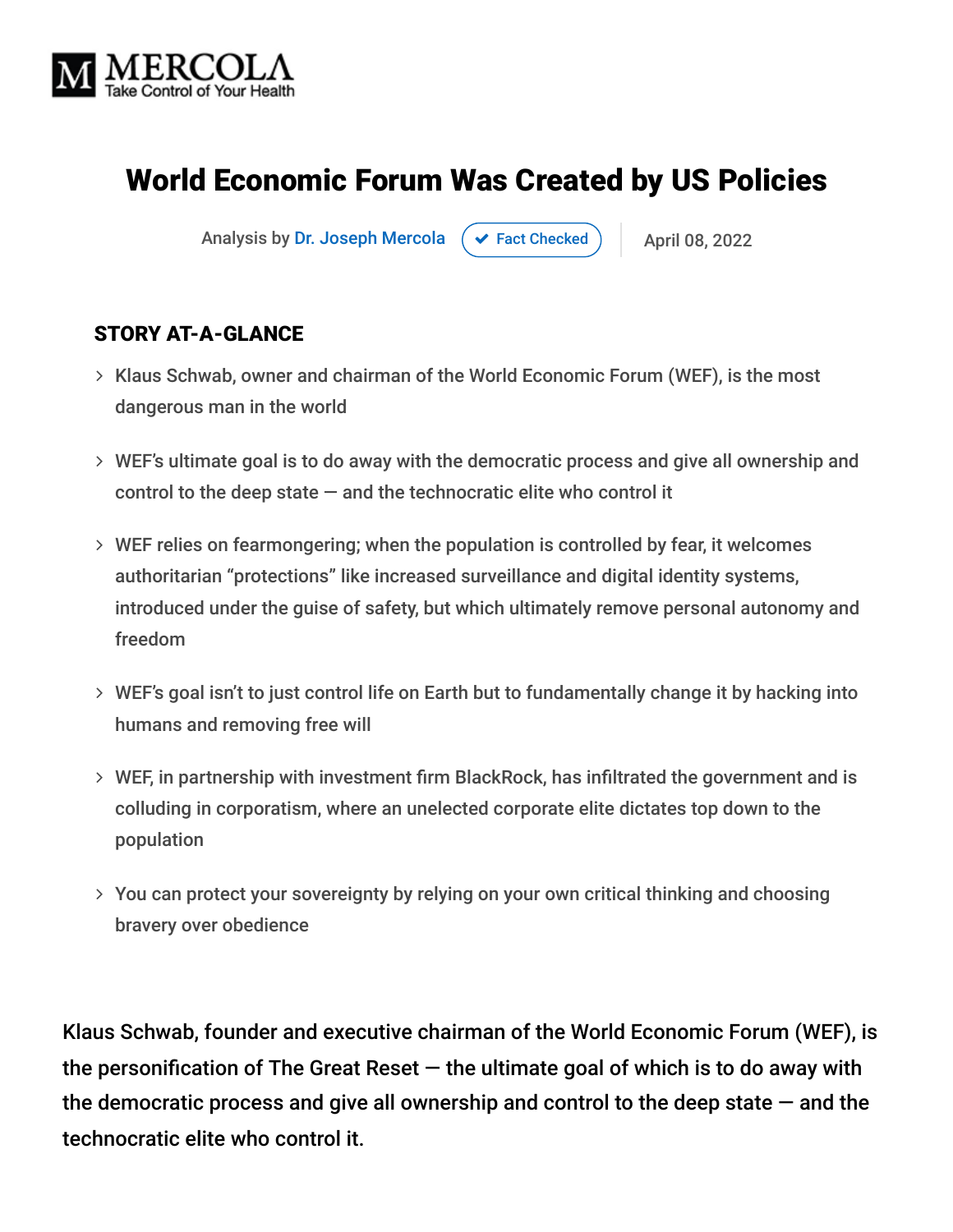

# World Economic Forum Was Created by US Policies

Analysis by [Dr. Joseph Mercola](https://www.mercola.com/forms/background.htm)  $\rightarrow$  [Fact Checked](javascript:void(0))  $\rightarrow$  April 08, 2022

#### STORY AT-A-GLANCE

- Klaus Schwab, owner and chairman of the World Economic Forum (WEF), is the most dangerous man in the world
- WEF's ultimate goal is to do away with the democratic process and give all ownership and control to the deep state  $-$  and the technocratic elite who control it
- WEF relies on fearmongering; when the population is controlled by fear, it welcomes authoritarian "protections" like increased surveillance and digital identity systems, introduced under the guise of safety, but which ultimately remove personal autonomy and freedom
- WEF's goal isn't to just control life on Earth but to fundamentally change it by hacking into humans and removing free will
- WEF, in partnership with investment firm BlackRock, has infiltrated the government and is colluding in corporatism, where an unelected corporate elite dictates top down to the population
- You can protect your sovereignty by relying on your own critical thinking and choosing bravery over obedience

Klaus Schwab, founder and executive chairman of the World Economic Forum (WEF), is the personification of The Great Reset  $-$  the ultimate goal of which is to do away with the democratic process and give all ownership and control to the deep state  $-$  and the technocratic elite who control it.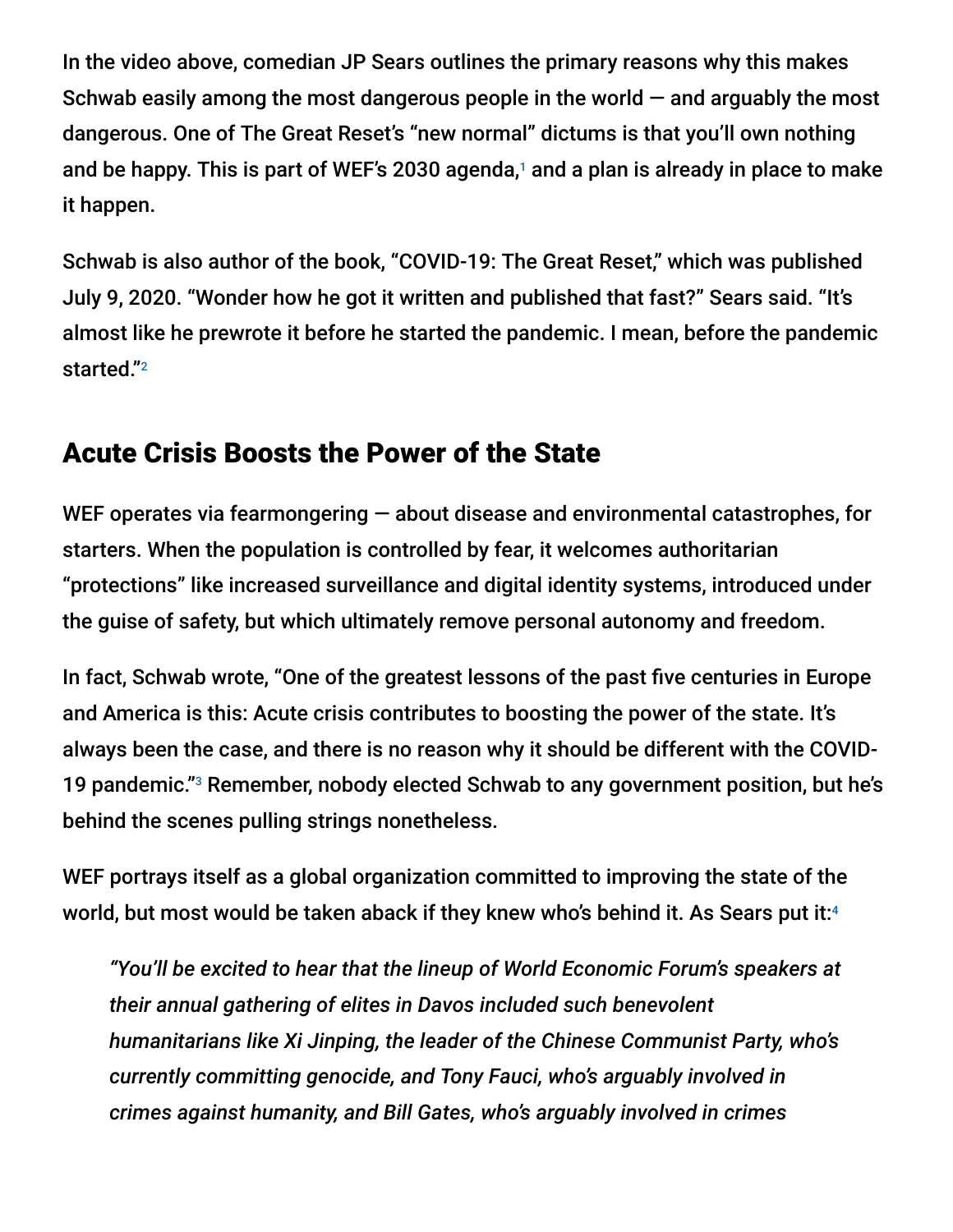In the video above, comedian JP Sears outlines the primary reasons why this makes Schwab easily among the most dangerous people in the world  $-$  and arguably the most dangerous. One of The Great Reset's "new normal" dictums is that you'll own nothing and be happy. This is part of WEF's 2030 agenda, $1$  and a plan is already in place to make it happen.

Schwab is also author of the book, "COVID-19: The Great Reset," which was published July 9, 2020. "Wonder how he got it written and published that fast?" Sears said. "It's almost like he prewrote it before he started the pandemic. I mean, before the pandemic started." 2

### Acute Crisis Boosts the Power of the State

WEF operates via fearmongering  $-$  about disease and environmental catastrophes, for starters. When the population is controlled by fear, it welcomes authoritarian "protections" like increased surveillance and digital identity systems, introduced under the guise of safety, but which ultimately remove personal autonomy and freedom.

In fact, Schwab wrote, "One of the greatest lessons of the past five centuries in Europe and America is this: Acute crisis contributes to boosting the power of the state. It's always been the case, and there is no reason why it should be different with the COVID-19 pandemic."<sup>3</sup> Remember, nobody elected Schwab to any government position, but he's behind the scenes pulling strings nonetheless.

WEF portrays itself as a global organization committed to improving the state of the world, but most would be taken aback if they knew who's behind it. As Sears put it: 4

*"You'll be excited to hear that the lineup of World Economic Forum's speakers at their annual gathering of elites in Davos included such benevolent humanitarians like Xi Jinping, the leader of the Chinese Communist Party, who's currently committing genocide, and Tony Fauci, who's arguably involved in crimes against humanity, and Bill Gates, who's arguably involved in crimes*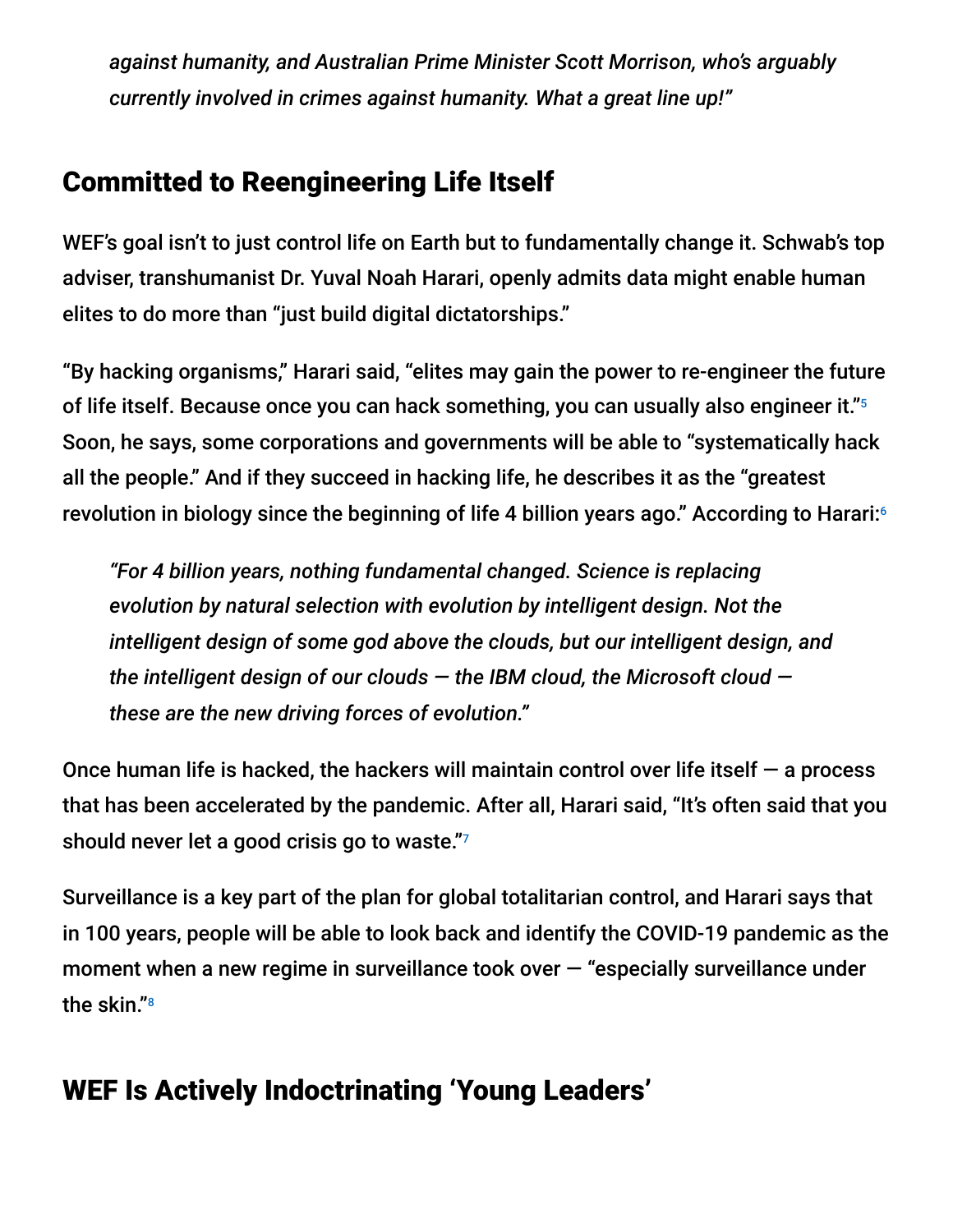*against humanity, and Australian Prime Minister Scott Morrison, who's arguably currently involved in crimes against humanity. What a great line up!"*

## Committed to Reengineering Life Itself

WEF's goal isn't to just control life on Earth but to fundamentally change it. Schwab's top adviser, transhumanist Dr. Yuval Noah Harari, openly admits data might enable human elites to do more than "just build digital dictatorships."

"By hacking organisms," Harari said, "elites may gain the power to re-engineer the future of life itself. Because once you can hack something, you can usually also engineer it." 5 Soon, he says, some corporations and governments will be able to "systematically hack all the people." And if they succeed in hacking life, he describes it as the "greatest revolution in biology since the beginning of life 4 billion years ago." According to Harari: 6

*"For 4 billion years, nothing fundamental changed. Science is replacing evolution by natural selection with evolution by intelligent design. Not the intelligent design of some god above the clouds, but our intelligent design, and the intelligent design of our clouds — the IBM cloud, the Microsoft cloud these are the new driving forces of evolution."*

Once human life is hacked, the hackers will maintain control over life itself  $-$  a process that has been accelerated by the pandemic. After all, Harari said, "It's often said that you should never let a good crisis go to waste." 7

Surveillance is a key part of the plan for global totalitarian control, and Harari says that in 100 years, people will be able to look back and identify the COVID-19 pandemic as the moment when a new regime in surveillance took over — "especially surveillance under the skin." 8

## WEF Is Actively Indoctrinating 'Young Leaders'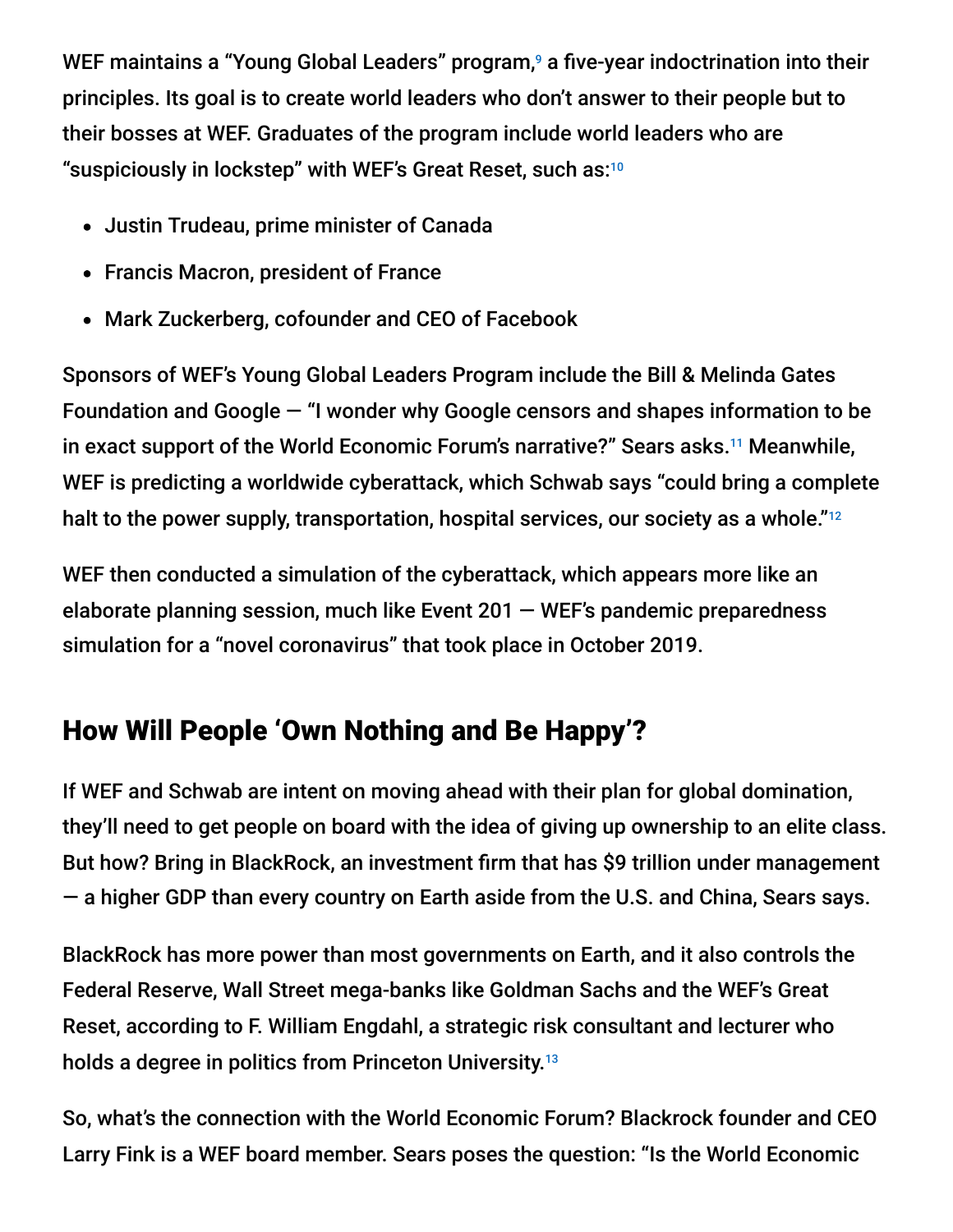WEF maintains a "Young Global Leaders" program,<sup>9</sup> a five-year indoctrination into their principles. Its goal is to create world leaders who don't answer to their people but to their bosses at WEF. Graduates of the program include world leaders who are "suspiciously in lockstep" with WEF's Great Reset, such as: 10

- Justin Trudeau, prime minister of Canada
- Francis Macron, president of France
- Mark Zuckerberg, cofounder and CEO of Facebook

Sponsors of WEF's Young Global Leaders Program include the Bill & Melinda Gates Foundation and Google — "I wonder why Google censors and shapes information to be in exact support of the World Economic Forum's narrative?" Sears asks.<sup>11</sup> Meanwhile, WEF is predicting a worldwide cyberattack, which Schwab says "could bring a complete halt to the power supply, transportation, hospital services, our society as a whole."<sup>12</sup>

WEF then conducted a simulation of the cyberattack, which appears more like an elaborate planning session, much like Event 201 — WEF's pandemic preparedness simulation for a "novel coronavirus" that took place in October 2019.

# How Will People 'Own Nothing and Be Happy'?

If WEF and Schwab are intent on moving ahead with their plan for global domination, they'll need to get people on board with the idea of giving up ownership to an elite class. But how? Bring in BlackRock, an investment firm that has \$9 trillion under management — a higher GDP than every country on Earth aside from the U.S. and China, Sears says.

BlackRock has more power than most governments on Earth, and it also controls the Federal Reserve, Wall Street mega-banks like Goldman Sachs and the WEF's Great Reset, according to F. William Engdahl, a strategic risk consultant and lecturer who holds a degree in politics from Princeton University. 13

So, what's the connection with the World Economic Forum? Blackrock founder and CEO Larry Fink is a WEF board member. Sears poses the question: "Is the World Economic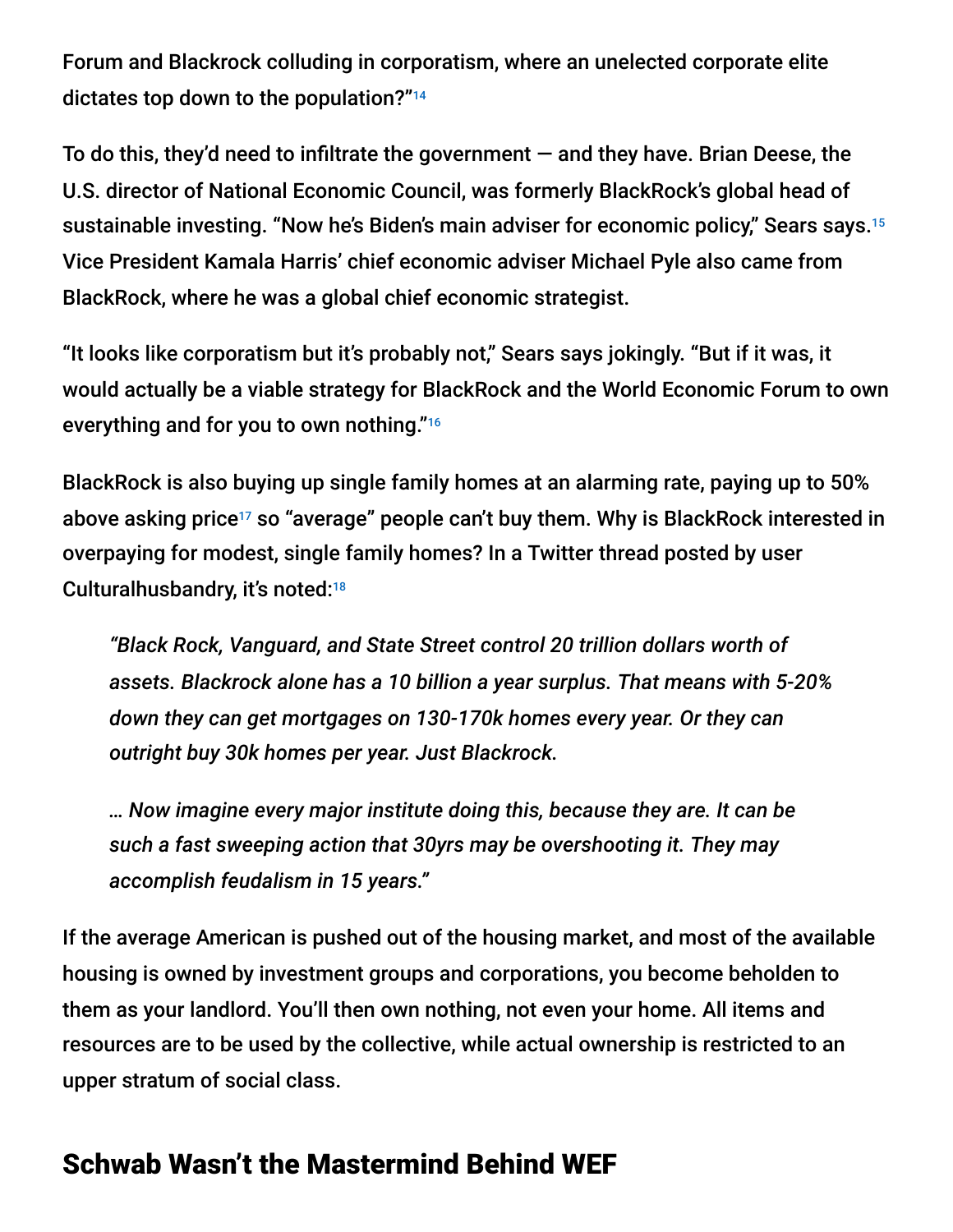Forum and Blackrock colluding in corporatism, where an unelected corporate elite dictates top down to the population?" 14

To do this, they'd need to infiltrate the government — and they have. Brian Deese, the U.S. director of National Economic Council, was formerly BlackRock's global head of sustainable investing. "Now he's Biden's main adviser for economic policy," Sears says. 15 Vice President Kamala Harris' chief economic adviser Michael Pyle also came from BlackRock, where he was a global chief economic strategist.

"It looks like corporatism but it's probably not," Sears says jokingly. "But if it was, it would actually be a viable strategy for BlackRock and the World Economic Forum to own everything and for you to own nothing." 16

BlackRock is also buying up single family homes at an alarming rate, paying up to 50% above asking price<sup>17</sup> so "average" people can't buy them. Why is BlackRock interested in overpaying for modest, single family homes? In a Twitter thread posted by user Culturalhusbandry, it's noted:<sup>18</sup>

*"Black Rock, Vanguard, and State Street control 20 trillion dollars worth of assets. Blackrock alone has a 10 billion a year surplus. That means with 5-20% down they can get mortgages on 130-170k homes every year. Or they can outright buy 30k homes per year. Just Blackrock.*

*… Now imagine every major institute doing this, because they are. It can be such a fast sweeping action that 30yrs may be overshooting it. They may accomplish feudalism in 15 years."*

If the average American is pushed out of the housing market, and most of the available housing is owned by investment groups and corporations, you become beholden to them as your landlord. You'll then own nothing, not even your home. All items and resources are to be used by the collective, while actual ownership is restricted to an upper stratum of social class.

#### Schwab Wasn't the Mastermind Behind WEF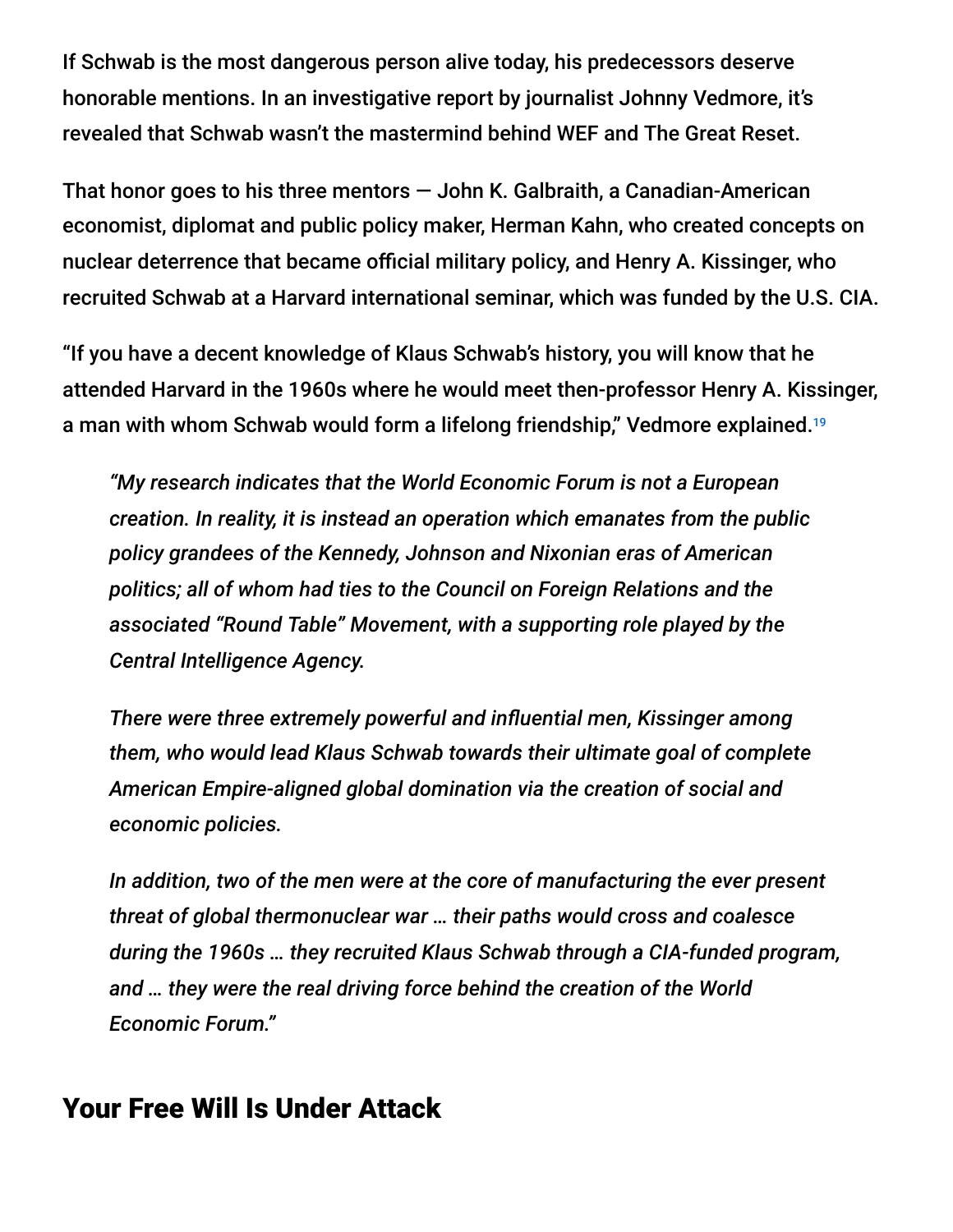If Schwab is the most dangerous person alive today, his predecessors deserve honorable mentions. In an investigative report by journalist Johnny Vedmore, it's revealed that Schwab wasn't the mastermind behind WEF and The Great Reset.

That honor goes to his three mentors — John K. Galbraith, a Canadian-American economist, diplomat and public policy maker, Herman Kahn, who created concepts on nuclear deterrence that became official military policy, and Henry A. Kissinger, who recruited Schwab at a Harvard international seminar, which was funded by the U.S. CIA.

"If you have a decent knowledge of Klaus Schwab's history, you will know that he attended Harvard in the 1960s where he would meet then-professor Henry A. Kissinger, a man with whom Schwab would form a lifelong friendship," Vedmore explained. 19

*"My research indicates that the World Economic Forum is not a European creation. In reality, it is instead an operation which emanates from the public policy grandees of the Kennedy, Johnson and Nixonian eras of American politics; all of whom had ties to the Council on Foreign Relations and the associated "Round Table" Movement, with a supporting role played by the Central Intelligence Agency.*

*There were three extremely powerful and influential men, Kissinger among them, who would lead Klaus Schwab towards their ultimate goal of complete American Empire-aligned global domination via the creation of social and economic policies.*

*In addition, two of the men were at the core of manufacturing the ever present threat of global thermonuclear war … their paths would cross and coalesce during the 1960s … they recruited Klaus Schwab through a CIA-funded program, and … they were the real driving force behind the creation of the World Economic Forum."*

#### Your Free Will Is Under Attack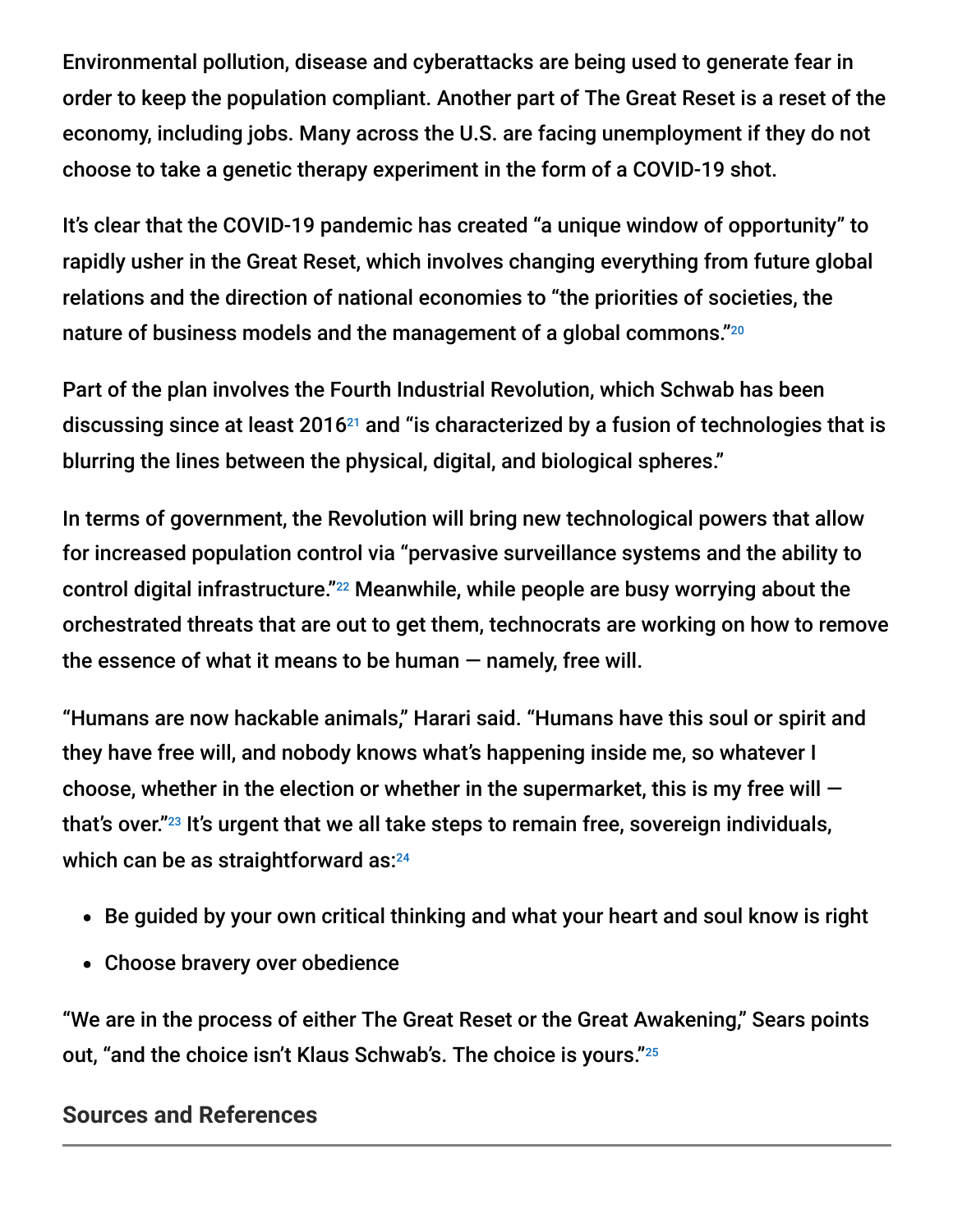Environmental pollution, disease and cyberattacks are being used to generate fear in order to keep the population compliant. Another part of The Great Reset is a reset of the economy, including jobs. Many across the U.S. are facing unemployment if they do not choose to take a genetic therapy experiment in the form of a COVID-19 shot.

It's clear that the COVID-19 pandemic has created "a unique window of opportunity" to rapidly usher in the Great Reset, which involves changing everything from future global relations and the direction of national economies to "the priorities of societies, the nature of business models and the management of a global commons." 20

Part of the plan involves the Fourth Industrial Revolution, which Schwab has been discussing since at least 2016 $^{21}$  and "is characterized by a fusion of technologies that is blurring the lines between the physical, digital, and biological spheres."

In terms of government, the Revolution will bring new technological powers that allow for increased population control via "pervasive surveillance systems and the ability to control digital infrastructure." $^{22}$  Meanwhile, while people are busy worrying about the orchestrated threats that are out to get them, technocrats are working on how to remove the essence of what it means to be human — namely, free will.

"Humans are now hackable animals," Harari said. "Humans have this soul or spirit and they have free will, and nobody knows what's happening inside me, so whatever I choose, whether in the election or whether in the supermarket, this is my free will  $$ that's over."<sup>23</sup> It's urgent that we all take steps to remain free, sovereign individuals, which can be as straightforward as: 24

- Be guided by your own critical thinking and what your heart and soul know is right
- Choose bravery over obedience

"We are in the process of either The Great Reset or the Great Awakening," Sears points out, "and the choice isn't Klaus Schwab's. The choice is yours." 25

#### **Sources and References**